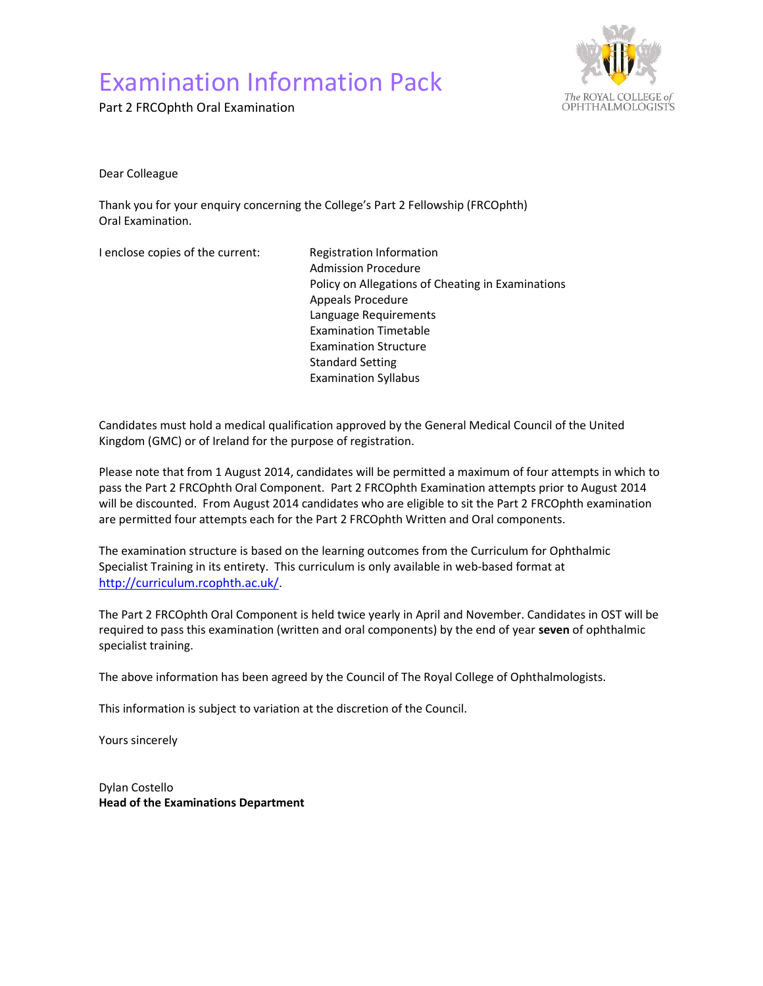# Examination Information Pack

Part 2 FRCOphth Oral Examination



Dear Colleague

Thank you for your enquiry concerning the College's Part 2 Fellowship (FRCOphth) Oral Examination.

I enclose copies of the current: Registration Information

 Admission Procedure Policy on Allegations of Cheating in Examinations Appeals Procedure Language Requirements Examination Timetable Examination Structure Standard Setting Examination Syllabus

Candidates must hold a medical qualification approved by the General Medical Council of the United Kingdom (GMC) or of Ireland for the purpose of registration.

Please note that from 1 August 2014, candidates will be permitted a maximum of four attempts in which to pass the Part 2 FRCOphth Oral Component. Part 2 FRCOphth Examination attempts prior to August 2014 will be discounted. From August 2014 candidates who are eligible to sit the Part 2 FRCOphth examination are permitted four attempts each for the Part 2 FRCOphth Written and Oral components.

The examination structure is based on the learning outcomes from the Curriculum for Ophthalmic Specialist Training in its entirety. This curriculum is only available in web-based format at http://curriculum.rcophth.ac.uk/.

The Part 2 FRCOphth Oral Component is held twice yearly in April and November. Candidates in OST will be required to pass this examination (written and oral components) by the end of year seven of ophthalmic specialist training.

The above information has been agreed by the Council of The Royal College of Ophthalmologists.

This information is subject to variation at the discretion of the Council.

Yours sincerely

Dylan Costello Head of the Examinations Department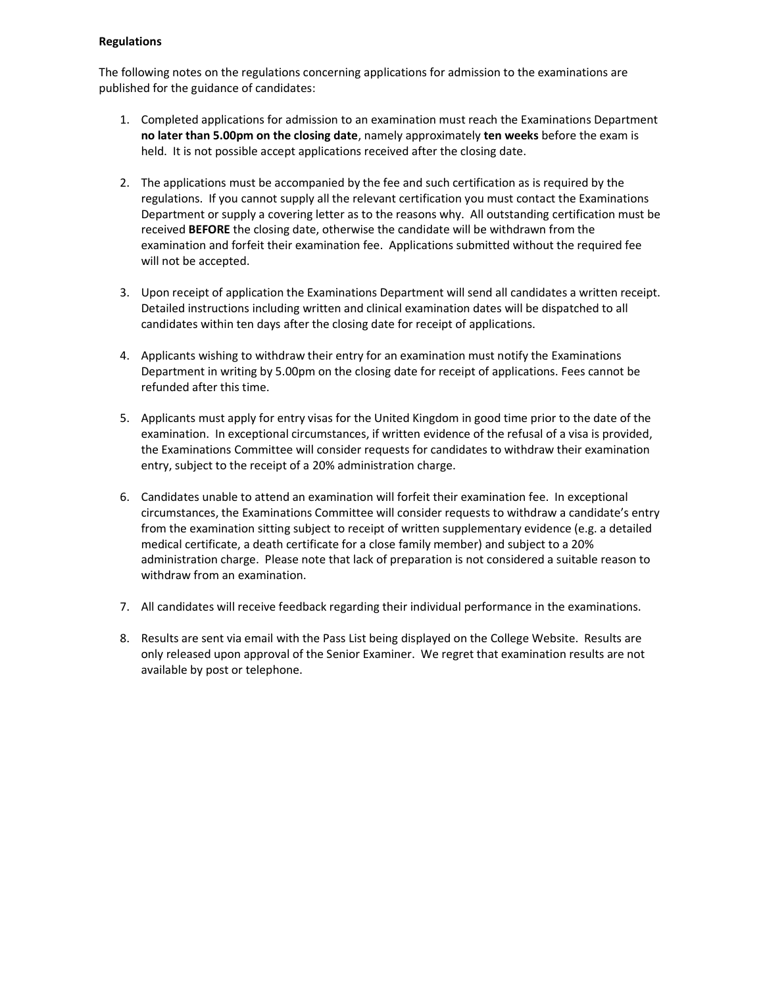## Regulations

The following notes on the regulations concerning applications for admission to the examinations are published for the guidance of candidates:

- 1. Completed applications for admission to an examination must reach the Examinations Department no later than 5.00pm on the closing date, namely approximately ten weeks before the exam is held. It is not possible accept applications received after the closing date.
- 2. The applications must be accompanied by the fee and such certification as is required by the regulations. If you cannot supply all the relevant certification you must contact the Examinations Department or supply a covering letter as to the reasons why. All outstanding certification must be received **BEFORE** the closing date, otherwise the candidate will be withdrawn from the examination and forfeit their examination fee. Applications submitted without the required fee will not be accepted.
- 3. Upon receipt of application the Examinations Department will send all candidates a written receipt. Detailed instructions including written and clinical examination dates will be dispatched to all candidates within ten days after the closing date for receipt of applications.
- 4. Applicants wishing to withdraw their entry for an examination must notify the Examinations Department in writing by 5.00pm on the closing date for receipt of applications. Fees cannot be refunded after this time.
- 5. Applicants must apply for entry visas for the United Kingdom in good time prior to the date of the examination. In exceptional circumstances, if written evidence of the refusal of a visa is provided, the Examinations Committee will consider requests for candidates to withdraw their examination entry, subject to the receipt of a 20% administration charge.
- 6. Candidates unable to attend an examination will forfeit their examination fee. In exceptional circumstances, the Examinations Committee will consider requests to withdraw a candidate's entry from the examination sitting subject to receipt of written supplementary evidence (e.g. a detailed medical certificate, a death certificate for a close family member) and subject to a 20% administration charge. Please note that lack of preparation is not considered a suitable reason to withdraw from an examination.
- 7. All candidates will receive feedback regarding their individual performance in the examinations.
- 8. Results are sent via email with the Pass List being displayed on the College Website. Results are only released upon approval of the Senior Examiner. We regret that examination results are not available by post or telephone.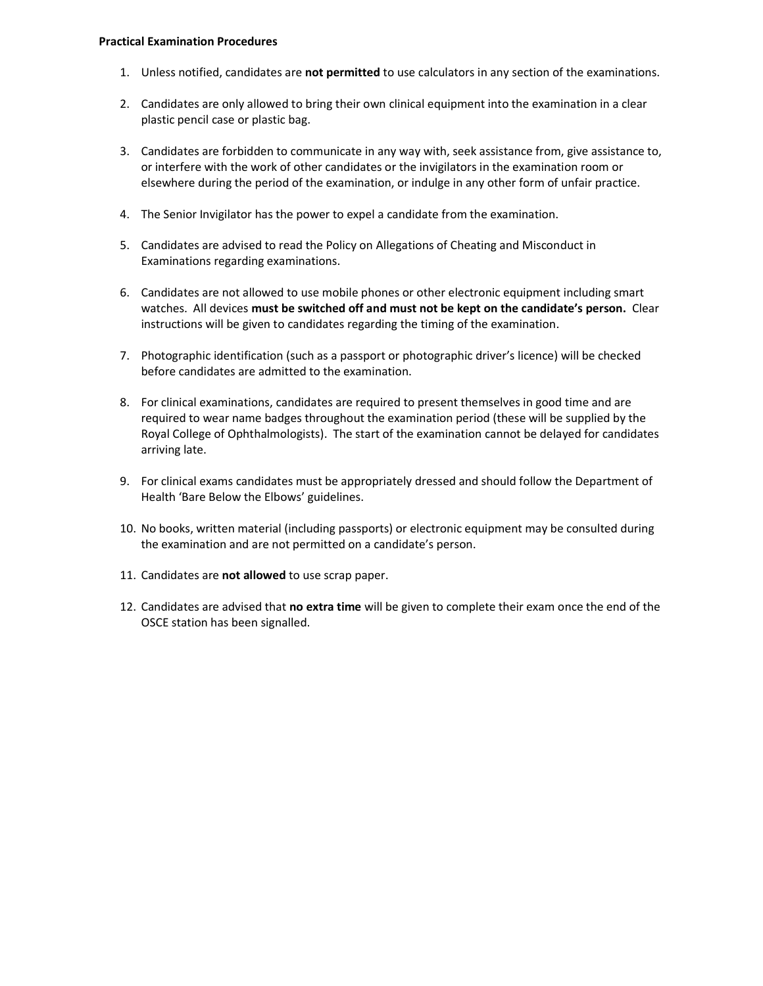#### Practical Examination Procedures

- 1. Unless notified, candidates are not permitted to use calculators in any section of the examinations.
- 2. Candidates are only allowed to bring their own clinical equipment into the examination in a clear plastic pencil case or plastic bag.
- 3. Candidates are forbidden to communicate in any way with, seek assistance from, give assistance to, or interfere with the work of other candidates or the invigilators in the examination room or elsewhere during the period of the examination, or indulge in any other form of unfair practice.
- 4. The Senior Invigilator has the power to expel a candidate from the examination.
- 5. Candidates are advised to read the Policy on Allegations of Cheating and Misconduct in Examinations regarding examinations.
- 6. Candidates are not allowed to use mobile phones or other electronic equipment including smart watches. All devices must be switched off and must not be kept on the candidate's person. Clear instructions will be given to candidates regarding the timing of the examination.
- 7. Photographic identification (such as a passport or photographic driver's licence) will be checked before candidates are admitted to the examination.
- 8. For clinical examinations, candidates are required to present themselves in good time and are required to wear name badges throughout the examination period (these will be supplied by the Royal College of Ophthalmologists). The start of the examination cannot be delayed for candidates arriving late.
- 9. For clinical exams candidates must be appropriately dressed and should follow the Department of Health 'Bare Below the Elbows' guidelines.
- 10. No books, written material (including passports) or electronic equipment may be consulted during the examination and are not permitted on a candidate's person.
- 11. Candidates are not allowed to use scrap paper.
- 12. Candidates are advised that no extra time will be given to complete their exam once the end of the OSCE station has been signalled.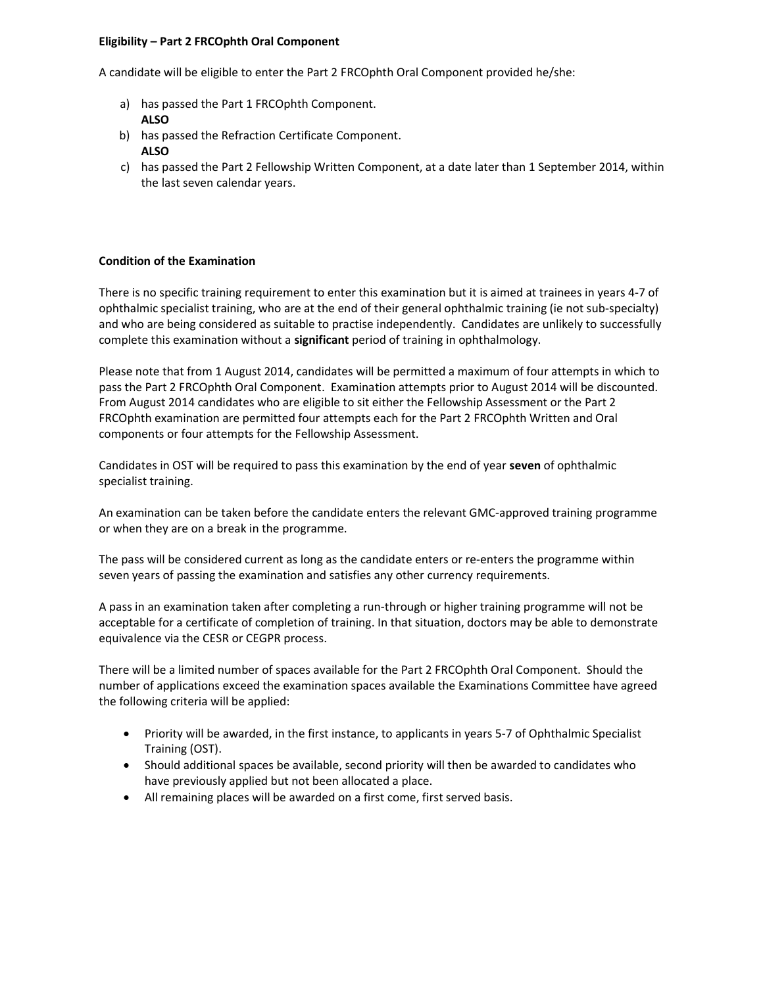## Eligibility – Part 2 FRCOphth Oral Component

A candidate will be eligible to enter the Part 2 FRCOphth Oral Component provided he/she:

- a) has passed the Part 1 FRCOphth Component. ALSO
- b) has passed the Refraction Certificate Component. ALSO
- c) has passed the Part 2 Fellowship Written Component, at a date later than 1 September 2014, within the last seven calendar years.

## Condition of the Examination

There is no specific training requirement to enter this examination but it is aimed at trainees in years 4-7 of ophthalmic specialist training, who are at the end of their general ophthalmic training (ie not sub-specialty) and who are being considered as suitable to practise independently. Candidates are unlikely to successfully complete this examination without a significant period of training in ophthalmology.

Please note that from 1 August 2014, candidates will be permitted a maximum of four attempts in which to pass the Part 2 FRCOphth Oral Component. Examination attempts prior to August 2014 will be discounted. From August 2014 candidates who are eligible to sit either the Fellowship Assessment or the Part 2 FRCOphth examination are permitted four attempts each for the Part 2 FRCOphth Written and Oral components or four attempts for the Fellowship Assessment.

Candidates in OST will be required to pass this examination by the end of year seven of ophthalmic specialist training.

An examination can be taken before the candidate enters the relevant GMC-approved training programme or when they are on a break in the programme.

The pass will be considered current as long as the candidate enters or re-enters the programme within seven years of passing the examination and satisfies any other currency requirements.

A pass in an examination taken after completing a run-through or higher training programme will not be acceptable for a certificate of completion of training. In that situation, doctors may be able to demonstrate equivalence via the CESR or CEGPR process.

There will be a limited number of spaces available for the Part 2 FRCOphth Oral Component. Should the number of applications exceed the examination spaces available the Examinations Committee have agreed the following criteria will be applied:

- Priority will be awarded, in the first instance, to applicants in years 5-7 of Ophthalmic Specialist Training (OST).
- Should additional spaces be available, second priority will then be awarded to candidates who have previously applied but not been allocated a place.
- All remaining places will be awarded on a first come, first served basis.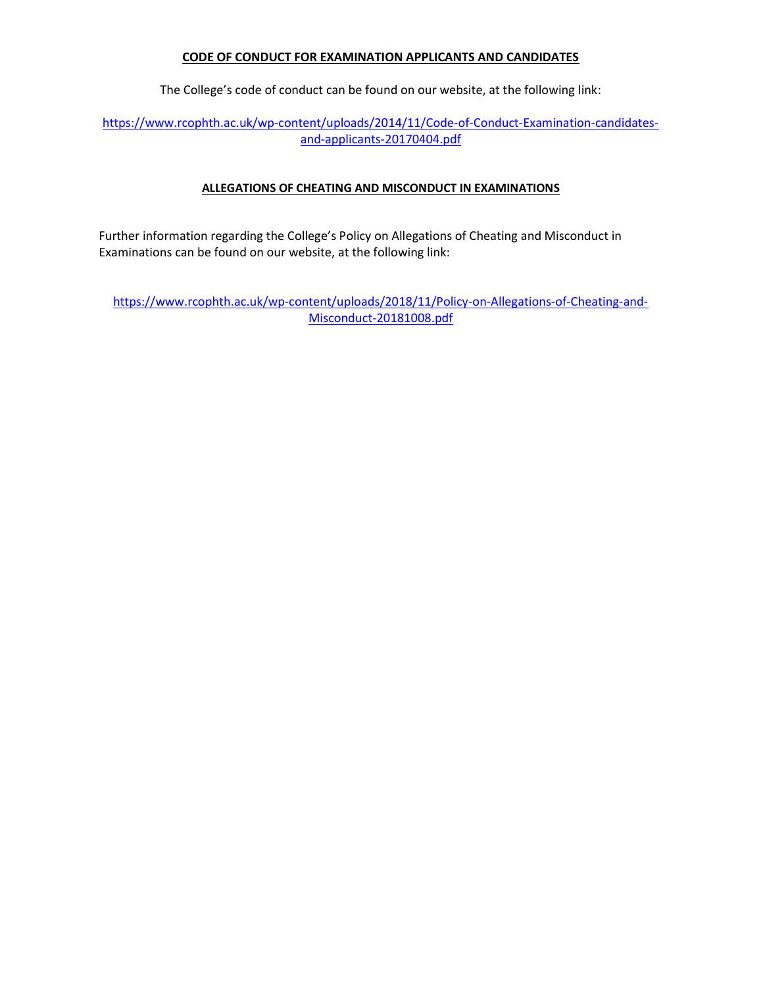## CODE OF CONDUCT FOR EXAMINATION APPLICANTS AND CANDIDATES

The College's code of conduct can be found on our website, at the following link:

https://www.rcophth.ac.uk/wp-content/uploads/2014/11/Code-of-Conduct-Examination-candidatesand-applicants-20170404.pdf

# ALLEGATIONS OF CHEATING AND MISCONDUCT IN EXAMINATIONS

Further information regarding the College's Policy on Allegations of Cheating and Misconduct in Examinations can be found on our website, at the following link:

https://www.rcophth.ac.uk/wp-content/uploads/2018/11/Policy-on-Allegations-of-Cheating-and-Misconduct-20181008.pdf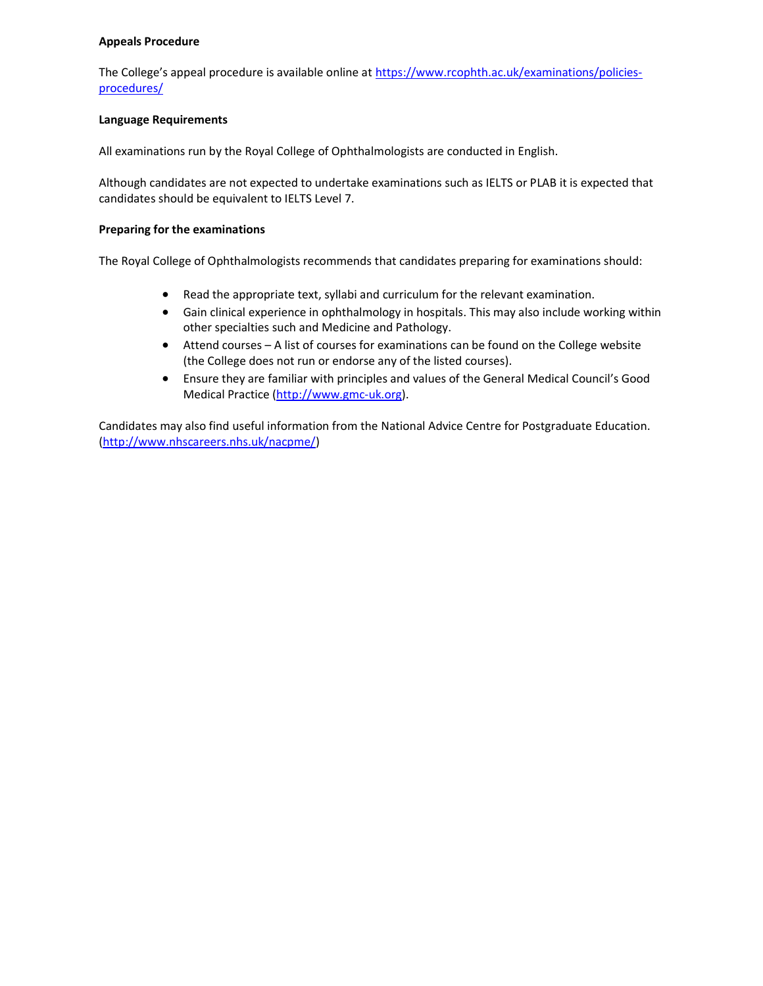## Appeals Procedure

The College's appeal procedure is available online at https://www.rcophth.ac.uk/examinations/policiesprocedures/

## Language Requirements

All examinations run by the Royal College of Ophthalmologists are conducted in English.

Although candidates are not expected to undertake examinations such as IELTS or PLAB it is expected that candidates should be equivalent to IELTS Level 7.

## Preparing for the examinations

The Royal College of Ophthalmologists recommends that candidates preparing for examinations should:

- Read the appropriate text, syllabi and curriculum for the relevant examination.
- Gain clinical experience in ophthalmology in hospitals. This may also include working within other specialties such and Medicine and Pathology.
- Attend courses A list of courses for examinations can be found on the College website (the College does not run or endorse any of the listed courses).
- Ensure they are familiar with principles and values of the General Medical Council's Good Medical Practice (http://www.gmc-uk.org).

Candidates may also find useful information from the National Advice Centre for Postgraduate Education. (http://www.nhscareers.nhs.uk/nacpme/)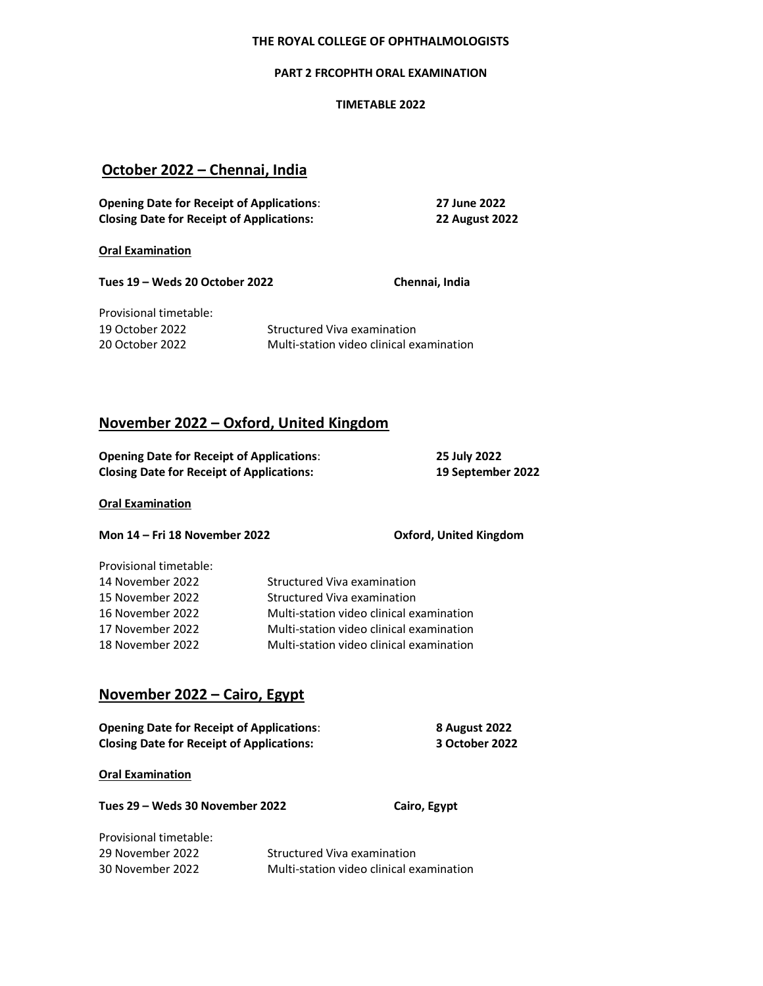## THE ROYAL COLLEGE OF OPHTHALMOLOGISTS

#### PART 2 FRCOPHTH ORAL EXAMINATION

#### TIMETABLE 2022

# October 2022 – Chennai, India

| <b>Opening Date for Receipt of Applications:</b> | 27 June 2022          |
|--------------------------------------------------|-----------------------|
| <b>Closing Date for Receipt of Applications:</b> | <b>22 August 2022</b> |

Oral Examination

Tues 19 – Weds 20 October 2022 Chennai, India

Provisional timetable:

19 October 2022 Structured Viva examination 20 October 2022 Multi-station video clinical examination

# November 2022 – Oxford, United Kingdom

| <b>Opening Date for Receipt of Applications:</b> | 25 July 2022      |
|--------------------------------------------------|-------------------|
| <b>Closing Date for Receipt of Applications:</b> | 19 September 2022 |

## Oral Examination

Mon 14 – Fri 18 November 2022 Oxford, United Kingdom

| Provisional timetable: |  |
|------------------------|--|
| 14 November 2022       |  |
| 15 November 2022       |  |

Structured Viva examination Structured Viva examination 16 November 2022 Multi-station video clinical examination 17 November 2022 Multi-station video clinical examination 18 November 2022 Multi-station video clinical examination

# November 2022 – Cairo, Egypt

| <b>Opening Date for Receipt of Applications:</b> | 8 August 2022  |
|--------------------------------------------------|----------------|
| <b>Closing Date for Receipt of Applications:</b> | 3 October 2022 |

Oral Examination

Tues 29 – Weds 30 November 2022 Cairo, Egypt

| Provisional timetable: |                                          |
|------------------------|------------------------------------------|
| 29 November 2022       | Structured Viva examination              |
| 30 November 2022       | Multi-station video clinical examination |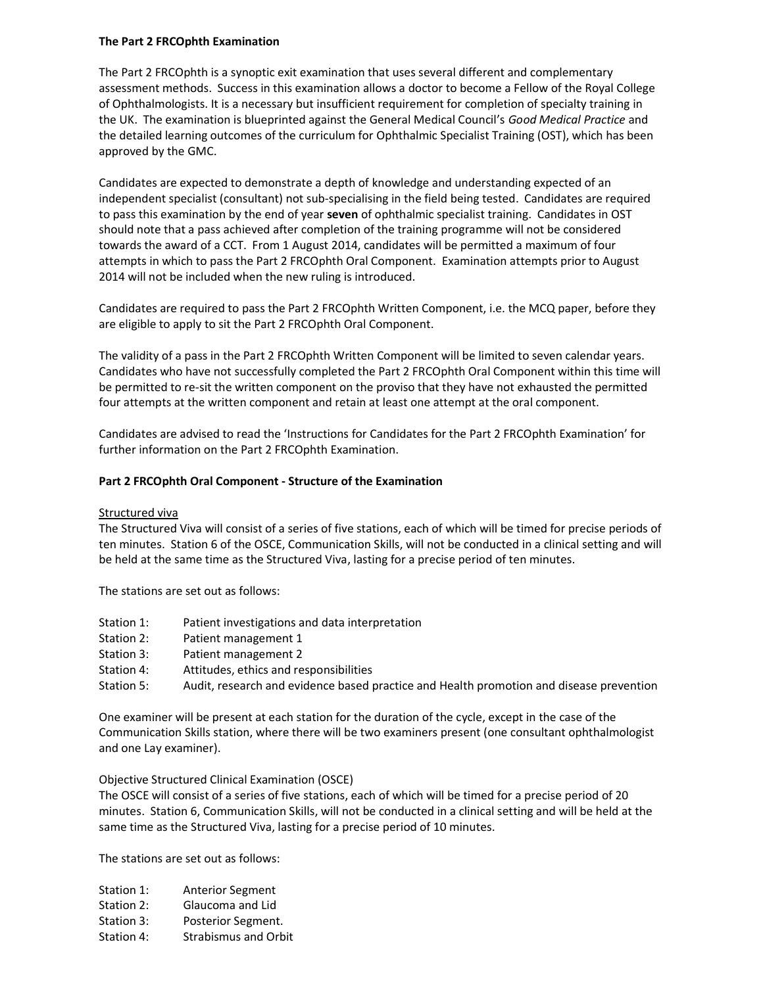## The Part 2 FRCOphth Examination

The Part 2 FRCOphth is a synoptic exit examination that uses several different and complementary assessment methods. Success in this examination allows a doctor to become a Fellow of the Royal College of Ophthalmologists. It is a necessary but insufficient requirement for completion of specialty training in the UK. The examination is blueprinted against the General Medical Council's Good Medical Practice and the detailed learning outcomes of the curriculum for Ophthalmic Specialist Training (OST), which has been approved by the GMC.

Candidates are expected to demonstrate a depth of knowledge and understanding expected of an independent specialist (consultant) not sub-specialising in the field being tested. Candidates are required to pass this examination by the end of year seven of ophthalmic specialist training. Candidates in OST should note that a pass achieved after completion of the training programme will not be considered towards the award of a CCT. From 1 August 2014, candidates will be permitted a maximum of four attempts in which to pass the Part 2 FRCOphth Oral Component. Examination attempts prior to August 2014 will not be included when the new ruling is introduced.

Candidates are required to pass the Part 2 FRCOphth Written Component, i.e. the MCQ paper, before they are eligible to apply to sit the Part 2 FRCOphth Oral Component.

The validity of a pass in the Part 2 FRCOphth Written Component will be limited to seven calendar years. Candidates who have not successfully completed the Part 2 FRCOphth Oral Component within this time will be permitted to re-sit the written component on the proviso that they have not exhausted the permitted four attempts at the written component and retain at least one attempt at the oral component.

Candidates are advised to read the 'Instructions for Candidates for the Part 2 FRCOphth Examination' for further information on the Part 2 FRCOphth Examination.

## Part 2 FRCOphth Oral Component - Structure of the Examination

## Structured viva

The Structured Viva will consist of a series of five stations, each of which will be timed for precise periods of ten minutes. Station 6 of the OSCE, Communication Skills, will not be conducted in a clinical setting and will be held at the same time as the Structured Viva, lasting for a precise period of ten minutes.

The stations are set out as follows:

- Station 1: Patient investigations and data interpretation
- Station 2: Patient management 1
- Station 3: Patient management 2
- Station 4: Attitudes, ethics and responsibilities
- Station 5: Audit, research and evidence based practice and Health promotion and disease prevention

One examiner will be present at each station for the duration of the cycle, except in the case of the Communication Skills station, where there will be two examiners present (one consultant ophthalmologist and one Lay examiner).

## Objective Structured Clinical Examination (OSCE)

The OSCE will consist of a series of five stations, each of which will be timed for a precise period of 20 minutes. Station 6, Communication Skills, will not be conducted in a clinical setting and will be held at the same time as the Structured Viva, lasting for a precise period of 10 minutes.

The stations are set out as follows:

- Station 1: Anterior Segment
- Station 2: Glaucoma and Lid
- Station 3: Posterior Segment.
- Station 4: Strabismus and Orbit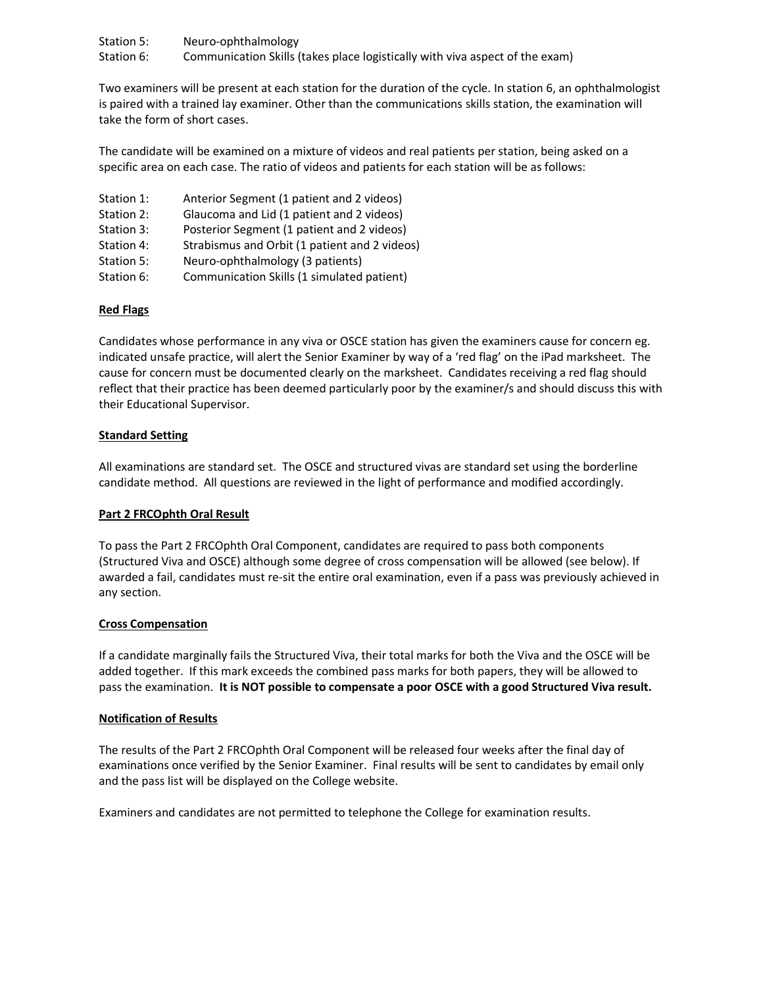Station 5: Neuro-ophthalmology Station 6: Communication Skills (takes place logistically with viva aspect of the exam)

Two examiners will be present at each station for the duration of the cycle. In station 6, an ophthalmologist is paired with a trained lay examiner. Other than the communications skills station, the examination will take the form of short cases.

The candidate will be examined on a mixture of videos and real patients per station, being asked on a specific area on each case. The ratio of videos and patients for each station will be as follows:

- Station 1: Anterior Segment (1 patient and 2 videos)
- Station 2: Glaucoma and Lid (1 patient and 2 videos)
- Station 3: Posterior Segment (1 patient and 2 videos)
- Station 4: Strabismus and Orbit (1 patient and 2 videos)
- Station 5: Neuro-ophthalmology (3 patients)
- Station 6: Communication Skills (1 simulated patient)

## Red Flags

Candidates whose performance in any viva or OSCE station has given the examiners cause for concern eg. indicated unsafe practice, will alert the Senior Examiner by way of a 'red flag' on the iPad marksheet. The cause for concern must be documented clearly on the marksheet. Candidates receiving a red flag should reflect that their practice has been deemed particularly poor by the examiner/s and should discuss this with their Educational Supervisor.

## Standard Setting

All examinations are standard set. The OSCE and structured vivas are standard set using the borderline candidate method. All questions are reviewed in the light of performance and modified accordingly.

## Part 2 FRCOphth Oral Result

To pass the Part 2 FRCOphth Oral Component, candidates are required to pass both components (Structured Viva and OSCE) although some degree of cross compensation will be allowed (see below). If awarded a fail, candidates must re-sit the entire oral examination, even if a pass was previously achieved in any section.

## Cross Compensation

If a candidate marginally fails the Structured Viva, their total marks for both the Viva and the OSCE will be added together. If this mark exceeds the combined pass marks for both papers, they will be allowed to pass the examination. It is NOT possible to compensate a poor OSCE with a good Structured Viva result.

## Notification of Results

The results of the Part 2 FRCOphth Oral Component will be released four weeks after the final day of examinations once verified by the Senior Examiner. Final results will be sent to candidates by email only and the pass list will be displayed on the College website.

Examiners and candidates are not permitted to telephone the College for examination results.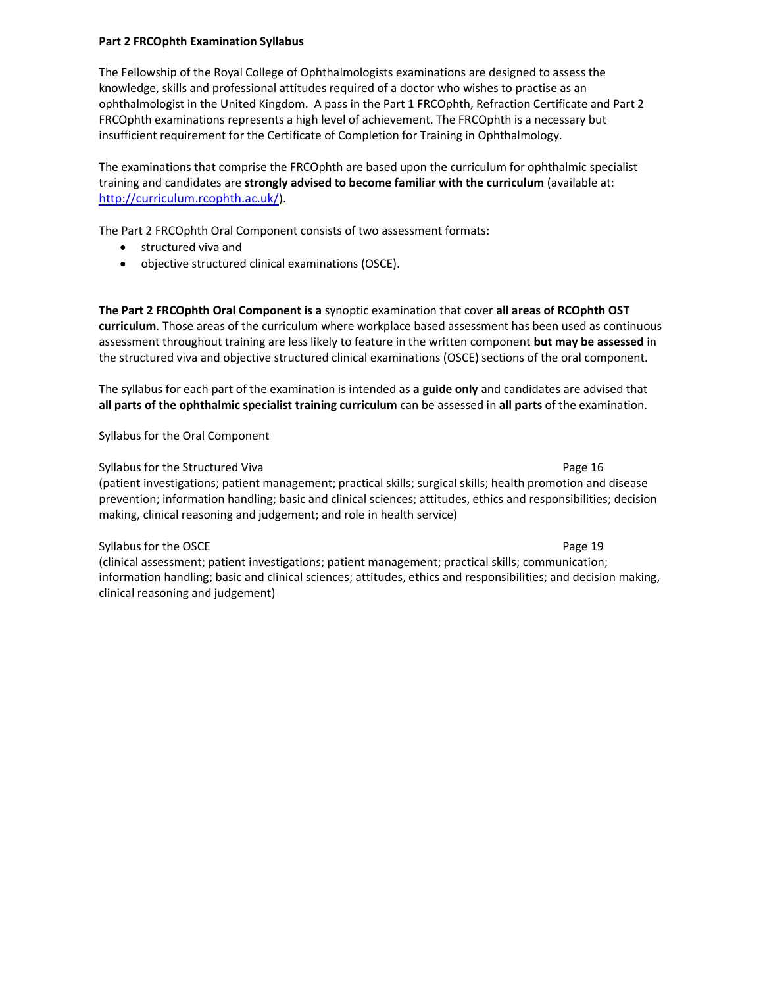## Part 2 FRCOphth Examination Syllabus

The Fellowship of the Royal College of Ophthalmologists examinations are designed to assess the knowledge, skills and professional attitudes required of a doctor who wishes to practise as an ophthalmologist in the United Kingdom. A pass in the Part 1 FRCOphth, Refraction Certificate and Part 2 FRCOphth examinations represents a high level of achievement. The FRCOphth is a necessary but insufficient requirement for the Certificate of Completion for Training in Ophthalmology.

The examinations that comprise the FRCOphth are based upon the curriculum for ophthalmic specialist training and candidates are strongly advised to become familiar with the curriculum (available at: http://curriculum.rcophth.ac.uk/).

The Part 2 FRCOphth Oral Component consists of two assessment formats:

- **•** structured viva and
- objective structured clinical examinations (OSCE).

The Part 2 FRCOphth Oral Component is a synoptic examination that cover all areas of RCOphth OST curriculum. Those areas of the curriculum where workplace based assessment has been used as continuous assessment throughout training are less likely to feature in the written component but may be assessed in the structured viva and objective structured clinical examinations (OSCE) sections of the oral component.

The syllabus for each part of the examination is intended as a guide only and candidates are advised that all parts of the ophthalmic specialist training curriculum can be assessed in all parts of the examination.

Syllabus for the Oral Component

## Syllabus for the Structured Viva Page 16

(patient investigations; patient management; practical skills; surgical skills; health promotion and disease prevention; information handling; basic and clinical sciences; attitudes, ethics and responsibilities; decision making, clinical reasoning and judgement; and role in health service)

## Syllabus for the OSCE **Page 19**

(clinical assessment; patient investigations; patient management; practical skills; communication; information handling; basic and clinical sciences; attitudes, ethics and responsibilities; and decision making, clinical reasoning and judgement)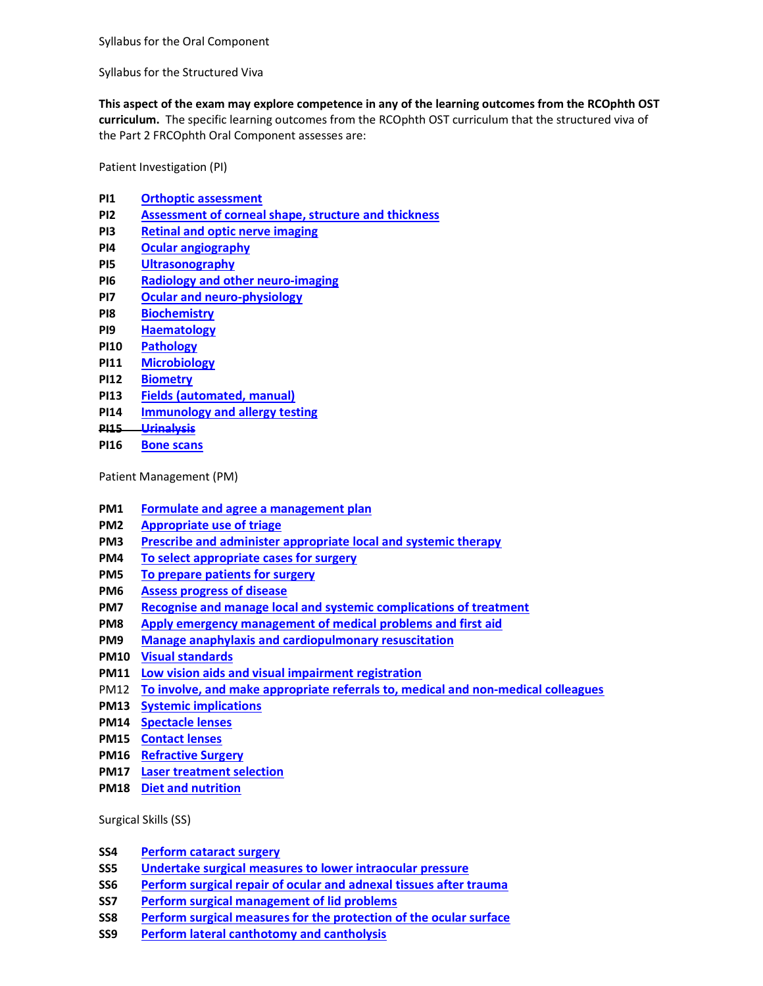Syllabus for the Oral Component

Syllabus for the Structured Viva

This aspect of the exam may explore competence in any of the learning outcomes from the RCOphth OST curriculum. The specific learning outcomes from the RCOphth OST curriculum that the structured viva of the Part 2 FRCOphth Oral Component assesses are:

Patient Investigation (PI)

- PI1 Orthoptic assessment
- PI2 Assessment of corneal shape, structure and thickness
- PI3 Retinal and optic nerve imaging
- PI4 Ocular angiography
- PI5 Ultrasonography
- PI6 Radiology and other neuro-imaging
- PI7 Ocular and neuro-physiology
- PI8 Biochemistry
- PI9 Haematology
- PI10 Pathology
- PI11 Microbiology
- PI12 Biometry
- PI13 Fields (automated, manual)
- PI14 Immunology and allergy testing
- PI15 Urinalysis
- PI16 Bone scans

Patient Management (PM)

- PM1 Formulate and agree a management plan
- PM2 Appropriate use of triage
- PM3 Prescribe and administer appropriate local and systemic therapy
- PM4 To select appropriate cases for surgery
- PM5 To prepare patients for surgery
- PM6 Assess progress of disease
- PM7 Recognise and manage local and systemic complications of treatment
- PM8 Apply emergency management of medical problems and first aid
- PM9 Manage anaphylaxis and cardiopulmonary resuscitation
- PM10 Visual standards
- PM11 Low vision aids and visual impairment registration
- PM12 To involve, and make appropriate referrals to, medical and non-medical colleagues
- PM13 Systemic implications
- PM14 Spectacle lenses
- PM15 Contact lenses
- PM16 Refractive Surgery
- PM17 Laser treatment selection
- PM18 Diet and nutrition

Surgical Skills (SS)

- SS4 Perform cataract surgery
- SS5 Undertake surgical measures to lower intraocular pressure
- SS6 Perform surgical repair of ocular and adnexal tissues after trauma
- SS7 Perform surgical management of lid problems
- SS8 Perform surgical measures for the protection of the ocular surface
- SS9 Perform lateral canthotomy and cantholysis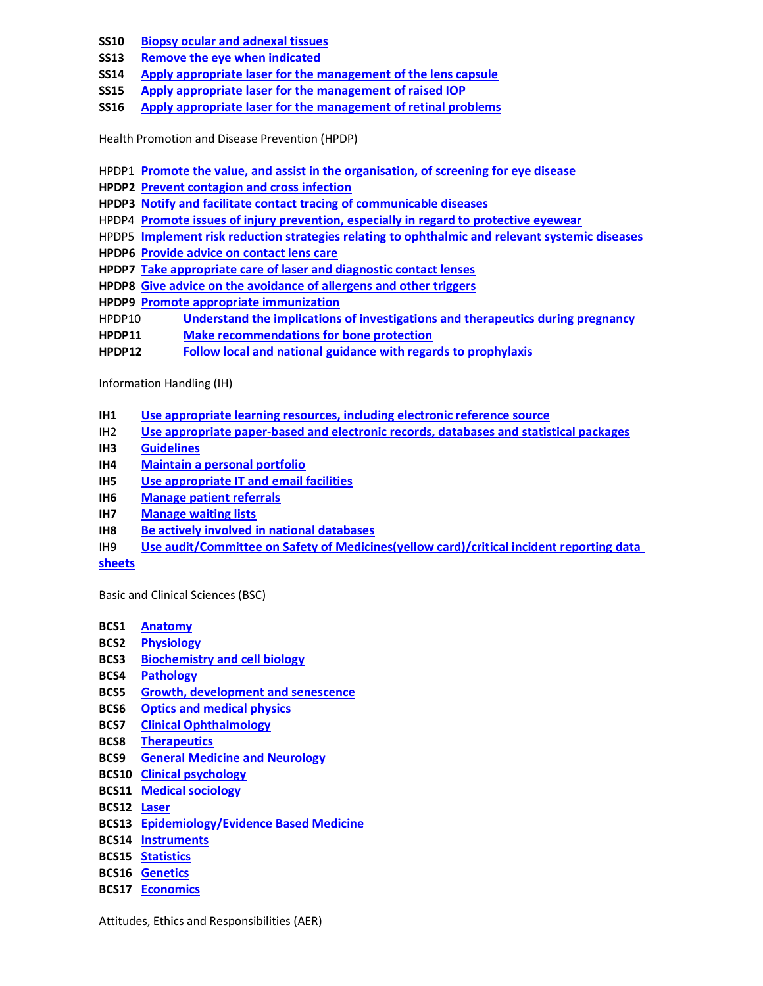- SS10 Biopsy ocular and adnexal tissues
- SS13 Remove the eye when indicated
- SS14 Apply appropriate laser for the management of the lens capsule
- SS15 Apply appropriate laser for the management of raised IOP
- SS16 Apply appropriate laser for the management of retinal problems

Health Promotion and Disease Prevention (HPDP)

- HPDP1 Promote the value, and assist in the organisation, of screening for eye disease
- HPDP2 Prevent contagion and cross infection

HPDP3 Notify and facilitate contact tracing of communicable diseases

- HPDP4 Promote issues of injury prevention, especially in regard to protective eyewear
- HPDP5 Implement risk reduction strategies relating to ophthalmic and relevant systemic diseases
- HPDP6 Provide advice on contact lens care
- HPDP7 Take appropriate care of laser and diagnostic contact lenses
- HPDP8 Give advice on the avoidance of allergens and other triggers
- HPDP9 Promote appropriate immunization
- HPDP10 Understand the implications of investigations and therapeutics during pregnancy
- HPDP11 Make recommendations for bone protection
- HPDP12 Follow local and national guidance with regards to prophylaxis

Information Handling (IH)

- IH1 Use appropriate learning resources, including electronic reference source
- IH2 Use appropriate paper-based and electronic records, databases and statistical packages
- IH3 Guidelines
- IH4 Maintain a personal portfolio
- IH5 Use appropriate IT and email facilities
- IH6 Manage patient referrals
- IH7 Manage waiting lists
- IH8 Be actively involved in national databases
- IH9 Use audit/Committee on Safety of Medicines(yellow card)/critical incident reporting data

sheets

Basic and Clinical Sciences (BSC)

- BCS1 Anatomy
- BCS2 Physiology
- BCS3 Biochemistry and cell biology
- BCS4 Pathology
- BCS5 Growth, development and senescence
- BCS6 Optics and medical physics
- BCS7 Clinical Ophthalmology
- BCS8 Therapeutics
- BCS9 General Medicine and Neurology
- BCS10 Clinical psychology
- BCS11 Medical sociology
- BCS12 Laser
- BCS13 Epidemiology/Evidence Based Medicine
- BCS14 Instruments
- BCS15 Statistics
- BCS16 Genetics
- BCS17 Economics

Attitudes, Ethics and Responsibilities (AER)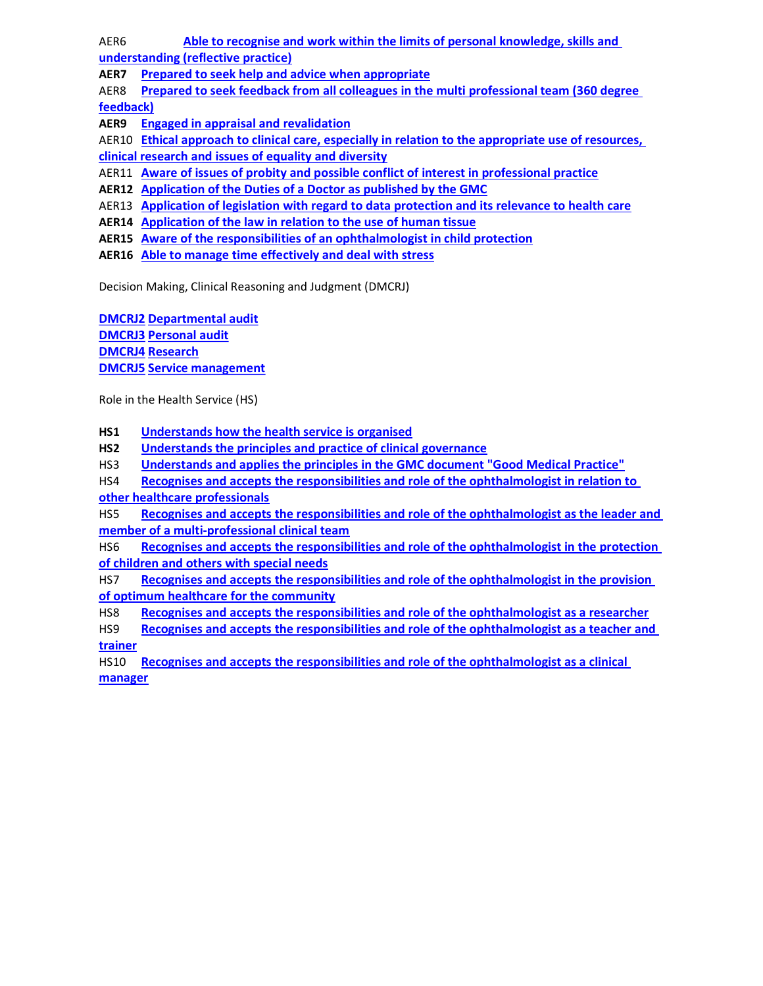AER6 Able to recognise and work within the limits of personal knowledge, skills and

understanding (reflective practice)

AER7 Prepared to seek help and advice when appropriate

AER8 Prepared to seek feedback from all colleagues in the multi professional team (360 degree feedback)

AER9 Engaged in appraisal and revalidation

AER10 Ethical approach to clinical care, especially in relation to the appropriate use of resources, clinical research and issues of equality and diversity

AER11 Aware of issues of probity and possible conflict of interest in professional practice

AER12 Application of the Duties of a Doctor as published by the GMC

AER13 Application of legislation with regard to data protection and its relevance to health care

AER14 Application of the law in relation to the use of human tissue

AER15 Aware of the responsibilities of an ophthalmologist in child protection

AER16 Able to manage time effectively and deal with stress

Decision Making, Clinical Reasoning and Judgment (DMCRJ)

DMCRJ2 Departmental audit DMCRJ3 Personal audit DMCRJ4 Research DMCRJ5 Service management

Role in the Health Service (HS)

HS1 Understands how the health service is organised

HS2 Understands the principles and practice of clinical governance

HS3 Understands and applies the principles in the GMC document "Good Medical Practice"

HS4 Recognises and accepts the responsibilities and role of the ophthalmologist in relation to other healthcare professionals

HS5 Recognises and accepts the responsibilities and role of the ophthalmologist as the leader and member of a multi-professional clinical team

HS6 Recognises and accepts the responsibilities and role of the ophthalmologist in the protection of children and others with special needs

HS7 Recognises and accepts the responsibilities and role of the ophthalmologist in the provision of optimum healthcare for the community

HS8 Recognises and accepts the responsibilities and role of the ophthalmologist as a researcher

HS9 Recognises and accepts the responsibilities and role of the ophthalmologist as a teacher and trainer

HS10 Recognises and accepts the responsibilities and role of the ophthalmologist as a clinical manager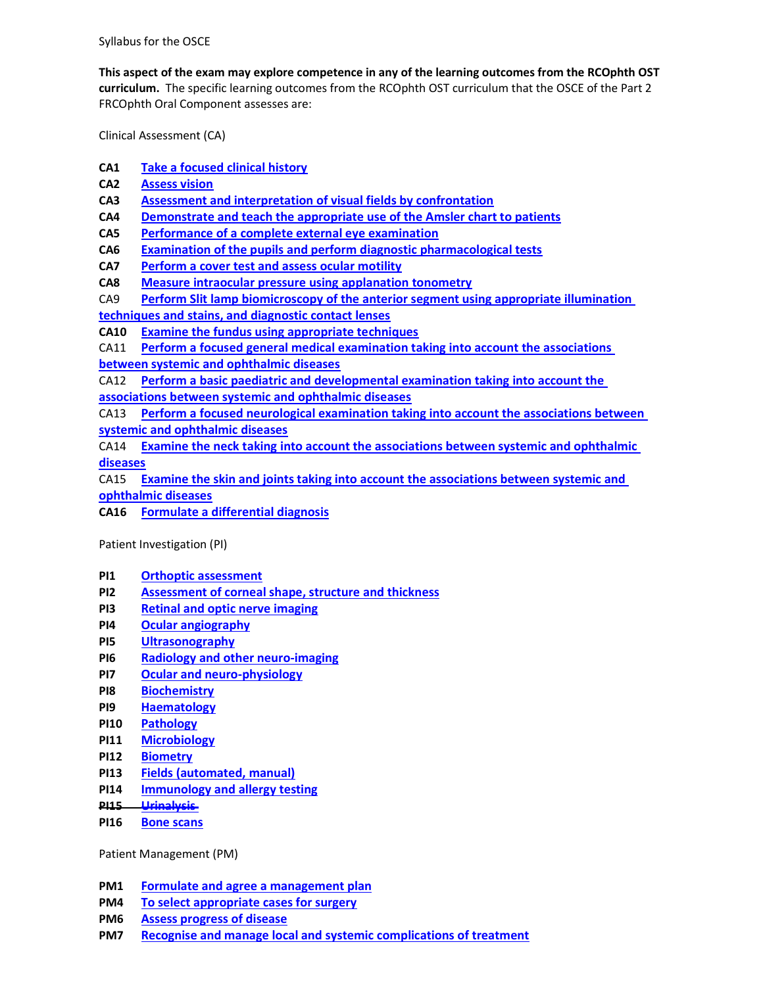Syllabus for the OSCE

This aspect of the exam may explore competence in any of the learning outcomes from the RCOphth OST curriculum. The specific learning outcomes from the RCOphth OST curriculum that the OSCE of the Part 2 FRCOphth Oral Component assesses are:

Clinical Assessment (CA)

- CA1 Take a focused clinical history
- CA2 Assess vision
- CA3 Assessment and interpretation of visual fields by confrontation
- CA4 Demonstrate and teach the appropriate use of the Amsler chart to patients
- CA5 Performance of a complete external eye examination
- CA6 Examination of the pupils and perform diagnostic pharmacological tests
- CA7 Perform a cover test and assess ocular motility
- CA8 Measure intraocular pressure using applanation tonometry
- CA9 Perform Slit lamp biomicroscopy of the anterior segment using appropriate illumination techniques and stains, and diagnostic contact lenses
- CA10 Examine the fundus using appropriate techniques
- CA11 Perform a focused general medical examination taking into account the associations
- between systemic and ophthalmic diseases
- CA12 Perform a basic paediatric and developmental examination taking into account the associations between systemic and ophthalmic diseases

CA13 Perform a focused neurological examination taking into account the associations between systemic and ophthalmic diseases

CA14 Examine the neck taking into account the associations between systemic and ophthalmic diseases

CA15 Examine the skin and joints taking into account the associations between systemic and ophthalmic diseases

CA16 Formulate a differential diagnosis

Patient Investigation (PI)

- PI1 Orthoptic assessment
- PI2 Assessment of corneal shape, structure and thickness
- PI3 Retinal and optic nerve imaging
- PI4 Ocular angiography
- PI5 Ultrasonography
- PI6 Radiology and other neuro-imaging
- PI7 Ocular and neuro-physiology
- PI8 Biochemistry
- PI9 Haematology
- PI10 Pathology
- PI11 Microbiology
- PI12 Biometry
- PI13 Fields (automated, manual)
- PI14 Immunology and allergy testing
- PI15 Urinalysis
- PI16 Bone scans

Patient Management (PM)

- PM1 Formulate and agree a management plan
- PM4 To select appropriate cases for surgery
- PM6 Assess progress of disease
- PM7 Recognise and manage local and systemic complications of treatment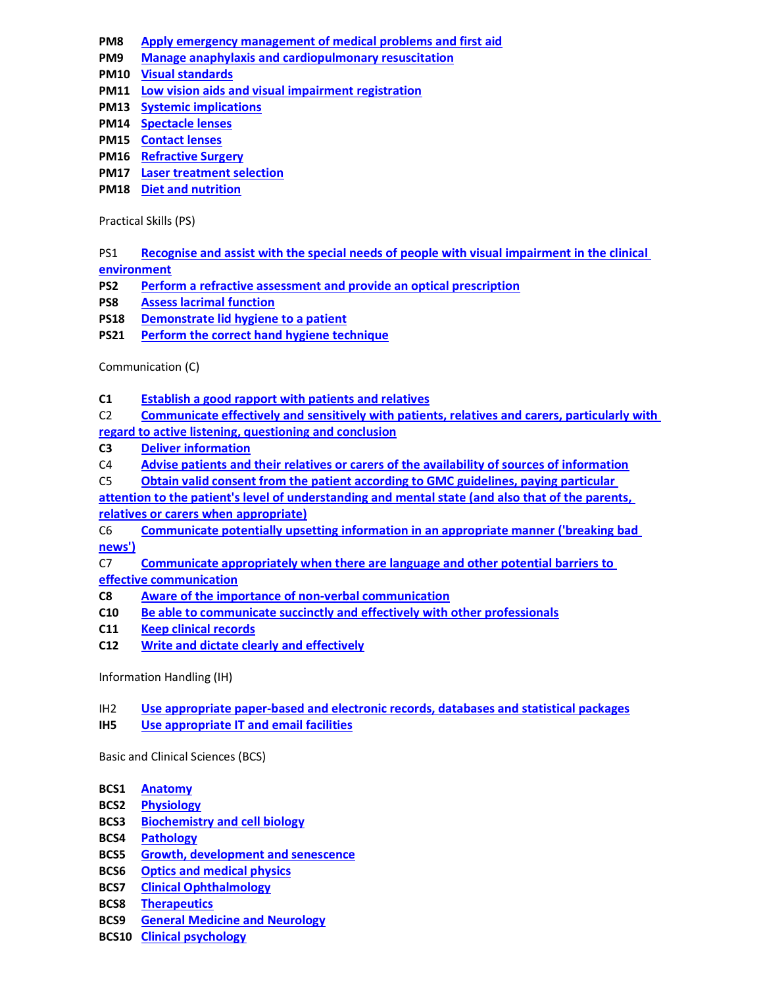- PM8 Apply emergency management of medical problems and first aid
- PM9 Manage anaphylaxis and cardiopulmonary resuscitation
- PM10 Visual standards
- PM11 Low vision aids and visual impairment registration
- PM13 Systemic implications
- PM14 Spectacle lenses
- PM15 Contact lenses
- PM16 Refractive Surgery
- PM17 Laser treatment selection
- PM18 Diet and nutrition

Practical Skills (PS)

PS1 Recognise and assist with the special needs of people with visual impairment in the clinical environment

- PS2 Perform a refractive assessment and provide an optical prescription
- PS8 Assess lacrimal function
- PS18 Demonstrate lid hygiene to a patient
- PS21 Perform the correct hand hygiene technique

Communication (C)

- C1 Establish a good rapport with patients and relatives
- C2 Communicate effectively and sensitively with patients, relatives and carers, particularly with

regard to active listening, questioning and conclusion

- C3 Deliver information
- C4 Advise patients and their relatives or carers of the availability of sources of information
- C5 Obtain valid consent from the patient according to GMC guidelines, paying particular
- attention to the patient's level of understanding and mental state (and also that of the parents, relatives or carers when appropriate)
- C6 Communicate potentially upsetting information in an appropriate manner ('breaking bad news')

C7 Communicate appropriately when there are language and other potential barriers to effective communication

- C8 Aware of the importance of non-verbal communication
- C10 Be able to communicate succinctly and effectively with other professionals
- C11 Keep clinical records
- C12 Write and dictate clearly and effectively

Information Handling (IH)

## IH2 Use appropriate paper-based and electronic records, databases and statistical packages

IH5 Use appropriate IT and email facilities

Basic and Clinical Sciences (BCS)

- BCS1 Anatomy
- BCS2 Physiology
- BCS3 Biochemistry and cell biology
- BCS4 Pathology
- BCS5 Growth, development and senescence
- BCS6 Optics and medical physics
- BCS7 Clinical Ophthalmology
- BCS8 Therapeutics
- BCS9 General Medicine and Neurology
- BCS10 Clinical psychology